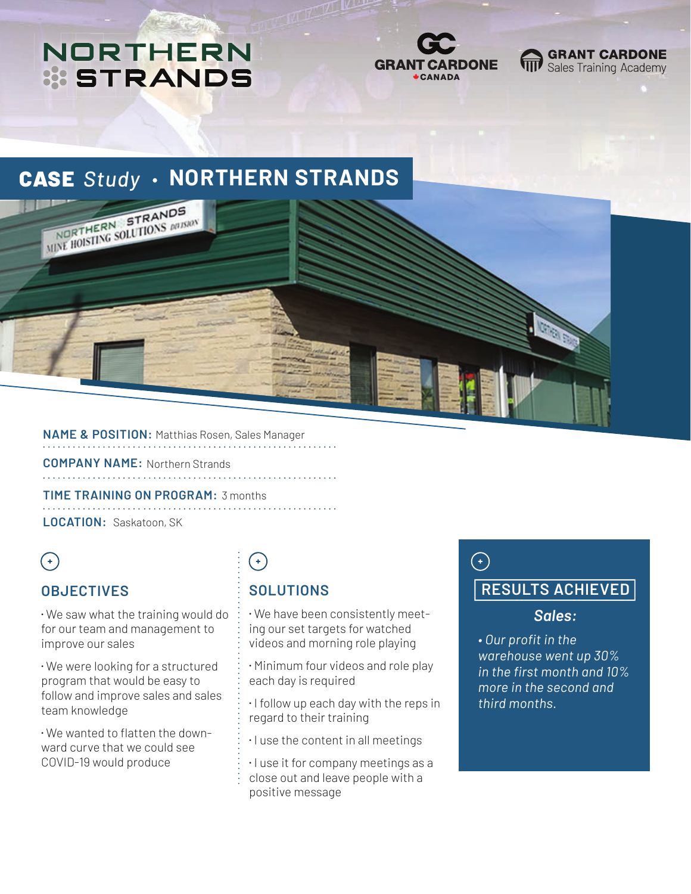## **NORTHERN STRANDS**



#### **GRANT CARDONE** Sales Training Academy

### **CASE Study · NORTHERN STRANDS**



**NAME & POSITION:** Matthias Rosen, Sales Manager 

**COMPANY NAME:** Northern Strands

**TIME TRAINING ON PROGRAM:** 3 months **LOCATION:** Saskatoon, SK

### $\bigodot$

#### **OBJECTIVES**

⁌ We saw what the training would do for our team and management to improve our sales

⁌ We were looking for a structured program that would be easy to follow and improve sales and sales team knowledge

⁌ We wanted to flatten the downward curve that we could see COVID-19 would produce

# $\left( \begin{matrix} + \end{matrix} \right)$

### **SOLUTIONS**

⁌ We have been consistently meeting our set targets for watched videos and morning role playing

⁌ Minimum four videos and role play each day is required

⁌ I follow up each day with the reps in regard to their training

⁌ I use the content in all meetings

 $\cdot$  I use it for company meetings as a close out and leave people with a positive message

### $\bigodot$

### **RESULTS ACHIEVED**

#### *Sales:*

*• Our profit in the warehouse went up 30% in the first month and 10% more in the second and third months.*